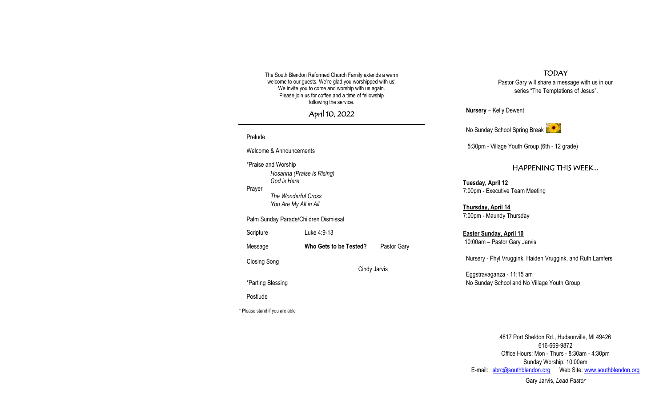The South Blendon Reformed Church Family extends a warm welcome to our guests. We're glad you worshipped with us! We invite you to come and worship with us again. Please join us for coffee and a time of fellowship following the service.

April 10, 2022

Prelude Welcome & Announcements \*Praise and Worship *Hosanna (Praise is Rising) God is Here* Prayer *The Wonderful Cross You Are My All in All* Palm Sunday Parade/Children Dismissal Scripture Luke 4:9-13 Message **Who Gets to be Tested?** Pastor Gary Closing Song Cindy Jarvis \*Parting Blessing Postlude \* Please stand if you are able

TODAY

Pastor Gary will share a message with us in our series "The Temptations of Jesus".

**Nursery** – Kelly Dewent

No Sunday School Spring Break

5:30pm - Village Youth Group (6th - 12 grade)

## HAPPENING THIS WEEK...

**Tuesday, April 12** 7:00pm - Executive Team Meeting

**Thursday, April 14** 7:00pm - Maundy Thursday

**Easter Sunday, April 10** 10:00am – Pastor Gary Jarvis

Nursery - Phyl Vruggink, Haiden Vruggink, and Ruth Lamfers

Eggstravaganza - 11:15 am No Sunday School and No Village Youth Group

4817 Port Sheldon Rd., Hudsonville, MI 49426 616-669-9872 Office Hours: Mon - Thurs - 8:30am - 4:30pm Sunday Worship: 10:00am E-mail: [sbrc@southblendon.org](mailto:sbrc@southblendon.org) Web Site: [www.southblendon.org](http://www.southblendon.org/)

Gary Jarvis, *Lead Pastor*